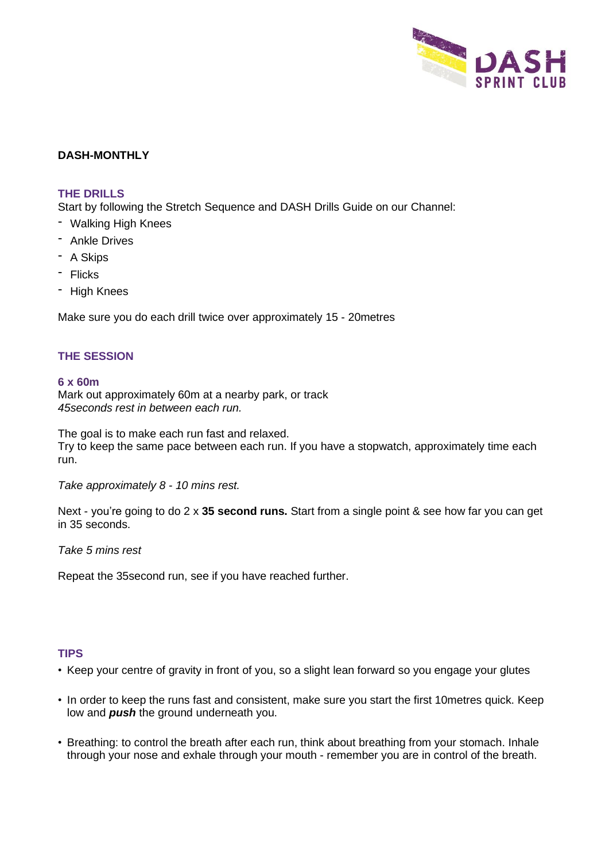

# **DASH-MONTHLY**

### **THE DRILLS**

Start by following the Stretch Sequence and DASH Drills Guide on our Channel:

- Walking High Knees
- Ankle Drives
- A Skips
- Flicks
- High Knees

Make sure you do each drill twice over approximately 15 - 20metres

### **THE SESSION**

#### **6 x 60m**

Mark out approximately 60m at a nearby park, or track *45seconds rest in between each run.*

The goal is to make each run fast and relaxed. Try to keep the same pace between each run. If you have a stopwatch, approximately time each run.

*Take approximately 8 - 10 mins rest.*

Next - you're going to do 2 x **35 second runs.** Start from a single point & see how far you can get in 35 seconds.

*Take 5 mins rest*

Repeat the 35second run, see if you have reached further.

### **TIPS**

- Keep your centre of gravity in front of you, so a slight lean forward so you engage your glutes
- In order to keep the runs fast and consistent, make sure you start the first 10metres quick. Keep low and *push* the ground underneath you.
- Breathing: to control the breath after each run, think about breathing from your stomach. Inhale through your nose and exhale through your mouth - remember you are in control of the breath.